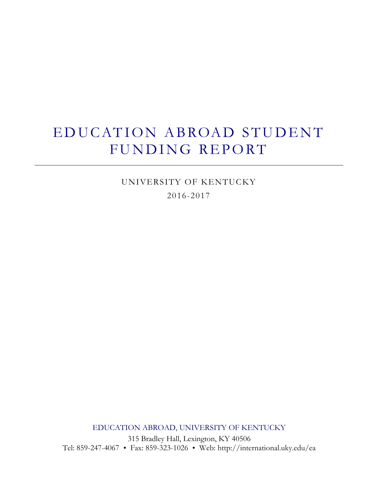# EDUCATION ABROAD STUDENT FUNDING REPORT

UNIVERSITY OF KENTUCKY 2016-2017

EDUCATION ABROAD, UNIVERSITY OF KENTUCKY

315 Bradley Hall, Lexington, KY 40506 Tel: 859-247-4067 Fax: 859-323-1026 Web: http://international.uky.edu/ea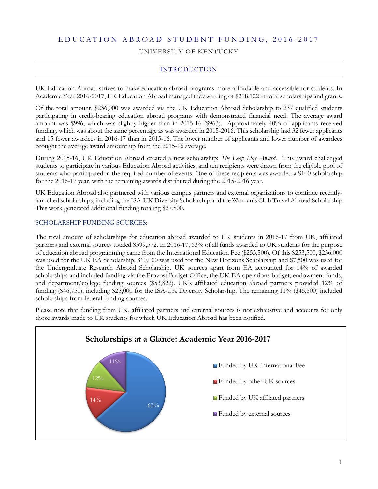## E D U C A T I O N A B R O A D S T U D E N T F U N D I N G , 2 0 1 6 - 201 7

UNIVERSITY OF KENTUCKY

## INTRODUCTION

UK Education Abroad strives to make education abroad programs more affordable and accessible for students. In Academic Year 2016-2017, UK Education Abroad managed the awarding of \$298,122 in total scholarships and grants.

Of the total amount, \$236,000 was awarded via the UK Education Abroad Scholarship to 237 qualified students participating in credit-bearing education abroad programs with demonstrated financial need. The average award amount was \$996, which was slightly higher than in 2015-16 (\$963). Approximately 40% of applicants received funding, which was about the same percentage as was awarded in 2015-2016. This scholarship had 32 fewer applicants and 15 fewer awardees in 2016-17 than in 2015-16. The lower number of applicants and lower number of awardees brought the average award amount up from the 2015-16 average.

During 2015-16, UK Education Abroad created a new scholarship: *The Leap Day Award*. This award challenged students to participate in various Education Abroad activities, and ten recipients were drawn from the eligible pool of students who participated in the required number of events. One of these recipients was awarded a \$100 scholarship for the 2016-17 year, with the remaining awards distributed during the 2015-2016 year.

UK Education Abroad also partnered with various campus partners and external organizations to continue recentlylaunched scholarships, including the ISA-UK Diversity Scholarship and the Woman's Club Travel Abroad Scholarship. This work generated additional funding totaling \$27,800.

#### SCHOLARSHIP FUNDING SOURCES:

The total amount of scholarships for education abroad awarded to UK students in 2016-17 from UK, affiliated partners and external sources totaled \$399,572. In 2016-17, 63% of all funds awarded to UK students for the purpose of education abroad programming came from the International Education Fee (\$253,500). Of this \$253,500, \$236,000 was used for the UK EA Scholarship, \$10,000 was used for the New Horizons Scholarship and \$7,500 was used for the Undergraduate Research Abroad Scholarship. UK sources apart from EA accounted for 14% of awarded scholarships and included funding via the Provost Budget Office, the UK EA operations budget, endowment funds, and department/college funding sources (\$53,822). UK's affiliated education abroad partners provided 12% of funding (\$46,750), including \$25,000 for the ISA-UK Diversity Scholarship. The remaining 11% (\$45,500) included scholarships from federal funding sources.

Please note that funding from UK, affiliated partners and external sources is not exhaustive and accounts for only those awards made to UK students for which UK Education Abroad has been notified.

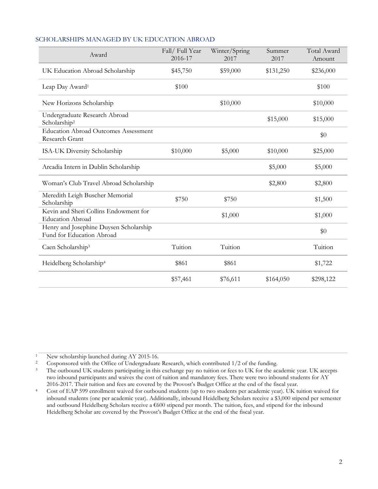| Award                                                               | Fall/Full Year<br>2016-17 | Winter/Spring<br>2017 | Summer<br>2017 | Total Award<br>Amount |
|---------------------------------------------------------------------|---------------------------|-----------------------|----------------|-----------------------|
| UK Education Abroad Scholarship                                     | \$45,750                  | \$59,000              | \$131,250      | \$236,000             |
| Leap Day Award <sup>1</sup>                                         | \$100                     |                       |                | \$100                 |
| New Horizons Scholarship                                            |                           | \$10,000              |                | \$10,000              |
| Undergraduate Research Abroad<br>Scholarship <sup>2</sup>           |                           |                       | \$15,000       | \$15,000              |
| <b>Education Abroad Outcomes Assessment</b><br>Research Grant       |                           |                       |                | \$0                   |
| ISA-UK Diversity Scholarship                                        | \$10,000                  | \$5,000               | \$10,000       | \$25,000              |
| Arcadia Intern in Dublin Scholarship                                |                           |                       | \$5,000        | \$5,000               |
| Woman's Club Travel Abroad Scholarship                              |                           |                       | \$2,800        | \$2,800               |
| Meredith Leigh Buscher Memorial<br>Scholarship                      | \$750                     | \$750                 |                | \$1,500               |
| Kevin and Sheri Collins Endowment for<br><b>Education Abroad</b>    |                           | \$1,000               |                | \$1,000               |
| Henry and Josephine Duysen Scholarship<br>Fund for Education Abroad |                           |                       |                | \$0                   |
| Caen Scholarship <sup>3</sup>                                       | Tuition                   | Tuition               |                | Tuition               |
| Heidelberg Scholarship <sup>4</sup>                                 | \$861                     | \$861                 |                | \$1,722               |
|                                                                     | \$57,461                  | \$76,611              | \$164,050      | \$298,122             |

## SCHOLARSHIPS MANAGED BY UK EDUCATION ABROAD

<sup>1</sup> New scholarship launched during AY 2015-16.<br><sup>2</sup> Cosponsored with the Office of Undergraduate

<sup>2</sup> Cosponsored with the Office of Undergraduate Research, which contributed 1/2 of the funding.

<sup>&</sup>lt;sup>3</sup> The outbound UK students participating in this exchange pay no tuition or fees to UK for the academic year. UK accepts two inbound participants and waives the cost of tuition and mandatory fees. There were two inbound students for AY 2016-2017. Their tuition and fees are covered by the Provost's Budget Office at the end of the fiscal year.

<sup>4</sup> Cost of EAP 599 enrollment waived for outbound students (up to two students per academic year). UK tuition waived for inbound students (one per academic year). Additionally, inbound Heidelberg Scholars receive a \$3,000 stipend per semester and outbound Heidelberg Scholars receive a  $\epsilon$ 600 stipend per month. The tuition, fees, and stipend for the inbound Heidelberg Scholar are covered by the Provost's Budget Office at the end of the fiscal year.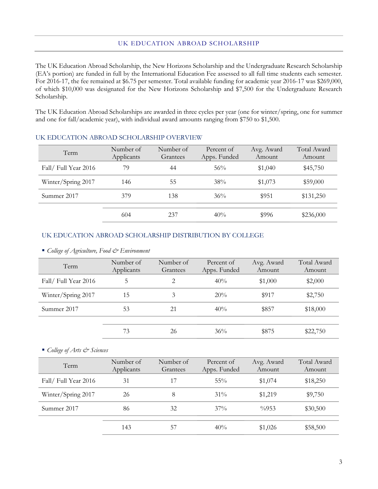The UK Education Abroad Scholarship, the New Horizons Scholarship and the Undergraduate Research Scholarship (EA's portion) are funded in full by the International Education Fee assessed to all full time students each semester. For 2016-17, the fee remained at \$6.75 per semester. Total available funding for academic year 2016-17 was \$269,000, of which \$10,000 was designated for the New Horizons Scholarship and \$7,500 for the Undergraduate Research Scholarship.

The UK Education Abroad Scholarships are awarded in three cycles per year (one for winter/spring, one for summer and one for fall/academic year), with individual award amounts ranging from \$750 to \$1,500.

| Term                | Number of<br>Applicants | Number of<br>Grantees | Percent of<br>Apps. Funded | Avg. Award<br>Amount | Total Award<br>Amount |
|---------------------|-------------------------|-----------------------|----------------------------|----------------------|-----------------------|
| Fall/Full Year 2016 | 79                      | 44                    | 56%                        | \$1,040              | \$45,750              |
| Winter/Spring 2017  | 146                     | 55                    | 38%                        | \$1,073              | \$59,000              |
| Summer 2017         | 379                     | 138                   | 36%                        | \$951                | \$131,250             |
|                     | 604                     | 237                   | 40%                        | \$996                | \$236,000             |

## UK EDUCATION ABROAD SCHOLARSHIP OVERVIEW

#### UK EDUCATION ABROAD SCHOLARSHIP DISTRIBUTION BY COLLEGE

*College of Agriculture, Food & Environment*

| Term                | Number of<br>Applicants | Number of<br>Grantees | Percent of<br>Apps. Funded | Avg. Award<br>Amount | Total Award<br>Amount |
|---------------------|-------------------------|-----------------------|----------------------------|----------------------|-----------------------|
| Fall/Full Year 2016 | 5                       | 2                     | 40%                        | \$1,000              | \$2,000               |
| Winter/Spring 2017  | 15                      | 3                     | 20%                        | \$917                | \$2,750               |
| Summer 2017         | 53                      | 21                    | 40%                        | \$857                | \$18,000              |
|                     |                         |                       |                            |                      |                       |
|                     | 73                      | 26                    | $36\%$                     | \$875                | \$22,750              |

*College of Arts & Sciences*

| Term                | Number of<br>Applicants | Number of<br>Grantees | Percent of<br>Apps. Funded | Avg. Award<br>Amount | Total Award<br>Amount |
|---------------------|-------------------------|-----------------------|----------------------------|----------------------|-----------------------|
| Fall/Full Year 2016 | 31                      | 17                    | $55\%$                     | \$1,074              | \$18,250              |
| Winter/Spring 2017  | 26                      | 8                     | $31\%$                     | \$1,219              | \$9,750               |
| Summer 2017         | 86                      | 32                    | $37\%$                     | $\frac{0}{0}$ 953    | \$30,500              |
|                     | 143                     | 57                    | 40%                        | \$1,026              | \$58,500              |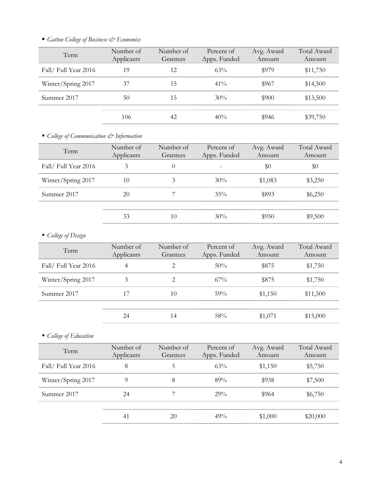# *Gatton College of Business & Economics*

| Term                | Number of<br>Applicants | Number of<br>Grantees | Percent of<br>Apps. Funded | Avg. Award<br>Amount | Total Award<br>Amount |
|---------------------|-------------------------|-----------------------|----------------------------|----------------------|-----------------------|
| Fall/Full Year 2016 | 19                      | 12                    | 63%                        | \$979                | \$11,750              |
| Winter/Spring 2017  | 37                      | 15                    | $41\%$                     | \$967                | \$14,500              |
| Summer 2017         | 50                      | 15                    | 30%                        | \$900                | \$13,500              |
|                     | 106                     | 42                    | 40%                        | \$946                | \$39,750              |

*College of Communication & Information*

| Number of<br>Applicants | Number of<br>Grantees | Percent of<br>Apps. Funded | Avg. Award<br>Amount | Total Award<br>Amount |
|-------------------------|-----------------------|----------------------------|----------------------|-----------------------|
| 3                       | 0                     |                            | \$0                  | \$0                   |
| 10                      | 3                     | $30\%$                     | \$1,083              | \$3,250               |
| 20                      |                       | $35\%$                     | \$893                | \$6,250               |
|                         |                       |                            |                      |                       |
| 33                      | 10                    | $30\%$                     | \$950                | \$9,500               |
|                         |                       |                            |                      |                       |

# *College of Design*

| Term                | Number of<br>Applicants | Number of<br>Grantees | Percent of<br>Apps. Funded | Avg. Award<br>Amount | Total Award<br>Amount |
|---------------------|-------------------------|-----------------------|----------------------------|----------------------|-----------------------|
| Fall/Full Year 2016 | $\overline{4}$          | 2                     | 50%                        | \$875                | \$1,750               |
| Winter/Spring 2017  | 3                       | 2                     | $67\%$                     | \$875                | \$1,750               |
| Summer 2017         | 17                      | 10                    | 59%                        | \$1,150              | \$11,500              |
|                     |                         |                       |                            |                      |                       |
|                     | 24                      | 14                    | 58%                        | \$1,071              | \$15,000              |

*College of Education*

| Term                | Number of<br>Applicants | Number of<br>Grantees | Percent of<br>Apps. Funded | Avg. Award<br>Amount | Total Award<br>Amount |
|---------------------|-------------------------|-----------------------|----------------------------|----------------------|-----------------------|
| Fall/Full Year 2016 | 8                       | 5                     | 63%                        | \$1,150              | \$5,750               |
| Winter/Spring 2017  | 9                       | 8                     | 89%                        | \$938                | \$7,500               |
| Summer 2017         | 24                      |                       | 29%                        | \$964                | \$6,750               |
|                     | 41                      | 20                    | 49%                        | \$1,000              | \$20,000              |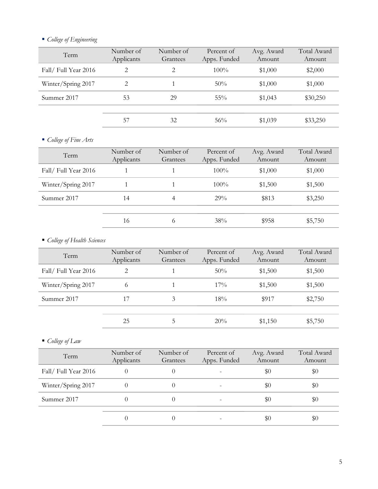# *College of Engineering*

| Number of<br>Applicants | Number of<br>Grantees | Percent of<br>Apps. Funded | Avg. Award<br>Amount | Total Award<br>Amount |
|-------------------------|-----------------------|----------------------------|----------------------|-----------------------|
| 2                       | 2                     | $100\%$                    | \$1,000              | \$2,000               |
| 2                       |                       | $50\%$                     | \$1,000              | \$1,000               |
| 53                      | 29                    | $55\%$                     | \$1,043              | \$30,250              |
|                         |                       |                            |                      |                       |
| 57                      | 32                    | 56%                        | \$1,039              | \$33,250              |
|                         |                       |                            |                      |                       |

# *College of Fine Arts*

| Number of<br>Applicants | Number of<br>Grantees | Percent of<br>Apps. Funded | Avg. Award<br>Amount | Total Award<br>Amount |
|-------------------------|-----------------------|----------------------------|----------------------|-----------------------|
|                         |                       | $100\%$                    | \$1,000              | \$1,000               |
|                         |                       | $100\%$                    | \$1,500              | \$1,500               |
| 14                      |                       | 29%                        | \$813                | \$3,250               |
|                         |                       |                            |                      |                       |
| 16                      | 6                     | 38%                        | \$958                | \$5,750               |
|                         |                       |                            |                      |                       |

# *College of Health Sciences*

| Term                | Number of<br>Applicants     | Number of<br>Grantees | Percent of<br>Apps. Funded | Avg. Award<br>Amount | Total Award<br>Amount |
|---------------------|-----------------------------|-----------------------|----------------------------|----------------------|-----------------------|
| Fall/Full Year 2016 | $\mathcal{D}_{\mathcal{L}}$ |                       | 50%                        | \$1,500              | \$1,500               |
| Winter/Spring 2017  | 6                           |                       | $17\%$                     | \$1,500              | \$1,500               |
| Summer 2017         | 17                          | 3                     | 18%                        | \$917                | \$2,750               |
|                     |                             |                       |                            |                      |                       |
|                     | 25                          |                       | 20%                        | \$1,150              | \$5,750               |

*College of Law*

| Term                | Number of<br>Applicants | Number of<br>Grantees | Percent of<br>Apps. Funded | Avg. Award<br>Amount | Total Award<br>Amount |
|---------------------|-------------------------|-----------------------|----------------------------|----------------------|-----------------------|
| Fall/Full Year 2016 |                         |                       |                            | $\$0$                | \$0                   |
| Winter/Spring 2017  |                         |                       |                            | \$0                  | \$0                   |
| Summer 2017         |                         |                       |                            | \$0                  | \$0                   |
|                     |                         |                       |                            | \$0                  | $\$0$                 |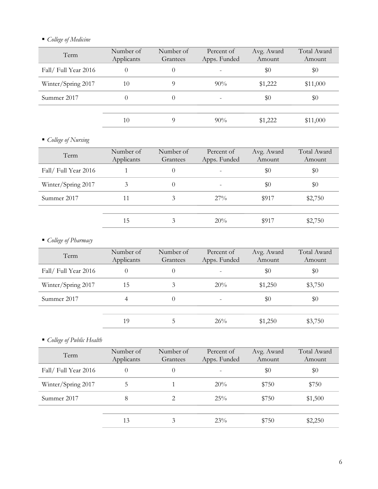# *College of Medicine*

| Term                | Number of<br>Applicants | Number of<br>Grantees | Percent of<br>Apps. Funded | Avg. Award<br>Amount | Total Award<br>Amount |
|---------------------|-------------------------|-----------------------|----------------------------|----------------------|-----------------------|
| Fall/Full Year 2016 | $\theta$                |                       |                            | \$0                  | \$0                   |
| Winter/Spring 2017  | 10                      |                       | $90\%$                     | \$1,222              | \$11,000              |
| Summer 2017         |                         |                       |                            | $\$0$                | \$0                   |
|                     | 10                      |                       | $90\%$                     | \$1,222              | \$11,000              |

# *College of Nursing*

| Amount  |
|---------|
| \$0     |
| \$0     |
| \$2,750 |
|         |
| \$2,750 |
|         |

# *College of Pharmacy*

| Term                | Number of<br>Applicants | Number of<br>Grantees | Percent of<br>Apps. Funded | Avg. Award<br>Amount | Total Award<br>Amount |
|---------------------|-------------------------|-----------------------|----------------------------|----------------------|-----------------------|
| Fall/Full Year 2016 | $\Omega$                | 0                     |                            | $\$0$                | \$0                   |
| Winter/Spring 2017  | 15                      | 3                     | 20%                        | \$1,250              | \$3,750               |
| Summer 2017         | 4                       | 0                     | -                          | \$0                  | $\$0$                 |
|                     | 19                      |                       | 26%                        | \$1,250              | \$3,750               |

# *College of Public Health*

| Term                | Number of<br>Applicants | Number of<br>Grantees | Percent of<br>Apps. Funded | Avg. Award<br>Amount | Total Award<br>Amount |
|---------------------|-------------------------|-----------------------|----------------------------|----------------------|-----------------------|
| Fall/Full Year 2016 | $\Omega$                | $\theta$              |                            | \$0                  | \$0                   |
| Winter/Spring 2017  | 5                       |                       | 20%                        | \$750                | \$750                 |
| Summer 2017         | 8                       | 2                     | 25%                        | \$750                | \$1,500               |
|                     | 13                      | 3                     | 23%                        | \$750                | \$2,250               |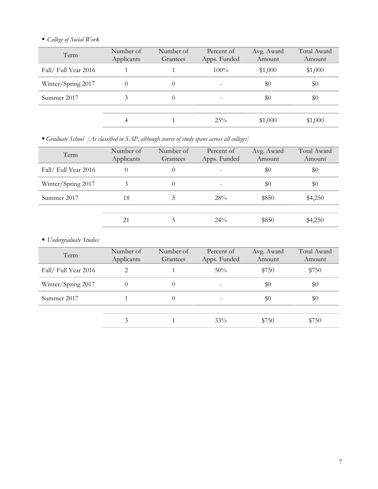# *College of Social Work*

| Term                 | Number of<br>Applicants | Number of<br>Grantees | Percent of<br>Apps. Funded | Avg. Award<br>Amount | Total Award<br>Amount |
|----------------------|-------------------------|-----------------------|----------------------------|----------------------|-----------------------|
| Fall/ Full Year 2016 |                         |                       | $100\%$                    | \$1,000              | \$1,000               |
| Winter/Spring 2017   | $\Omega$                | 0                     | $\qquad \qquad$            | \$0                  | $\$0$                 |
| Summer 2017          | 3                       | 0                     |                            | \$0                  | \$0                   |
|                      | 4                       |                       | 25%                        | \$1,000              | \$1,000               |

*Graduate School [As classified in SAP, although course of study spans across all colleges]*

| Term                | Number of<br>Applicants | Number of<br>Grantees | Percent of<br>Apps. Funded | Avg. Award<br>Amount | Total Award<br>Amount |
|---------------------|-------------------------|-----------------------|----------------------------|----------------------|-----------------------|
| Fall/Full Year 2016 | $\theta$                | 0                     |                            | \$0                  | \$0                   |
| Winter/Spring 2017  | 3                       | 0                     |                            | \$0                  | \$0                   |
| Summer 2017         | 18                      |                       | 28%                        | \$850                | \$4,250               |
|                     |                         |                       |                            |                      |                       |
|                     | 21                      | C                     | $24\%$                     | \$850                | \$4,250               |

# *Undergraduate Studies*

| Term                | Number of<br>Applicants | Number of<br>Grantees | Percent of<br>Apps. Funded | Avg. Award<br>Amount | Total Award<br>Amount |
|---------------------|-------------------------|-----------------------|----------------------------|----------------------|-----------------------|
| Fall/Full Year 2016 | 2                       |                       | 50%                        | \$750                | \$750                 |
| Winter/Spring 2017  |                         |                       | -                          | \$0                  | \$0                   |
| Summer 2017         |                         | $^{(1)}$              |                            | \$0                  | \$0                   |
|                     |                         |                       |                            |                      |                       |
|                     | 3                       |                       | $33\%$                     | \$750                | \$750                 |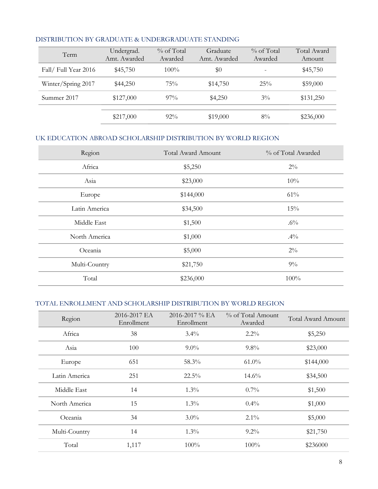| Term                | Undergrad.<br>Amt. Awarded | $\%$ of Total<br>Awarded | Graduate<br>Amt. Awarded | $\%$ of Total<br>Awarded | Total Award<br>Amount |
|---------------------|----------------------------|--------------------------|--------------------------|--------------------------|-----------------------|
| Fall/Full Year 2016 | \$45,750                   | $100\%$                  | \$0                      |                          | \$45,750              |
| Winter/Spring 2017  | \$44,250                   | 75%                      | \$14,750                 | 25%                      | \$59,000              |
| Summer 2017         | \$127,000                  | $97\%$                   | \$4,250                  | $3\%$                    | \$131,250             |
|                     | \$217,000                  | $92\%$                   | \$19,000                 | $8\%$                    | \$236,000             |

## DISTRIBUTION BY GRADUATE & UNDERGRADUATE STANDING

## UK EDUCATION ABROAD SCHOLARSHIP DISTRIBUTION BY WORLD REGION

| Region        | <b>Total Award Amount</b> | % of Total Awarded |
|---------------|---------------------------|--------------------|
| Africa        | \$5,250                   | $2\%$              |
| Asia          | \$23,000                  | 10%                |
| Europe        | \$144,000                 | 61%                |
| Latin America | \$34,500                  | 15%                |
| Middle East   | \$1,500                   | $.6\%$             |
| North America | \$1,000                   | $.4\%$             |
| Oceania       | \$5,000                   | $2\%$              |
| Multi-Country | \$21,750                  | $9\%$              |
| Total         | \$236,000                 | 100%               |

# TOTAL ENROLLMENT AND SCHOLARSHIP DISTRIBUTION BY WORLD REGION

| Region        | 2016-2017 EA<br>Enrollment | $2016 - 2017 \%$ EA<br>Enrollment | % of Total Amount<br>Awarded | <b>Total Award Amount</b> |
|---------------|----------------------------|-----------------------------------|------------------------------|---------------------------|
| Africa        | 38                         | $3.4\%$                           | $2.2\%$                      | \$5,250                   |
| Asia          | 100                        | $9.0\%$                           | $9.8\%$                      | \$23,000                  |
| Europe        | 651                        | 58.3%                             | $61.0\%$                     | \$144,000                 |
| Latin America | 251                        | $22.5\%$                          | $14.6\%$                     | \$34,500                  |
| Middle East   | 14                         | $1.3\%$                           | $0.7\%$                      | \$1,500                   |
| North America | 15                         | $1.3\%$                           | $0.4\%$                      | \$1,000                   |
| Oceania       | 34                         | $3.0\%$                           | $2.1\%$                      | \$5,000                   |
| Multi-Country | 14                         | $1.3\%$                           | $9.2\%$                      | \$21,750                  |
| Total         | 1,117                      | $100\%$                           | $100\%$                      | \$236000                  |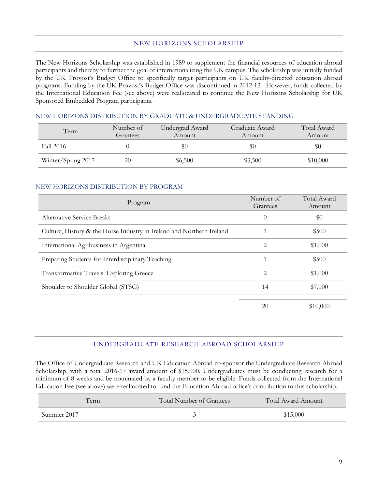### NEW HORIZONS SCHOLARSHIP

The New Horizons Scholarship was established in 1989 to supplement the financial resources of education abroad participants and thereby to further the goal of internationalizing the UK campus. The scholarship was initially funded by the UK Provost's Budget Office to specifically target participants on UK faculty-directed education abroad programs. Funding by the UK Provost's Budget Office was discontinued in 2012-13. However, funds collected by the International Education Fee (see above) were reallocated to continue the New Horizons Scholarship for UK Sponsored Embedded Program participants.

## NEW HORIZONS DISTRIBUTION BY GRADUATE & UNDERGRADUATE STANDING

| Term               | Number of<br>Grantees | Undergrad Award<br>Amount | Graduate Award<br>Amount | Total Award<br>Amount |
|--------------------|-----------------------|---------------------------|--------------------------|-----------------------|
| Fall 2016          |                       | УU                        | \$0                      | \$0                   |
| Winter/Spring 2017 | 20                    | \$6,500                   | \$3,500                  | \$10,000              |

### NEW HORIZONS DISTRIBUTION BY PROGRAM

| Program                                                               | Number of<br>Grantees | Total Award<br>Amount |
|-----------------------------------------------------------------------|-----------------------|-----------------------|
| <b>Alternative Service Breaks</b>                                     | $\theta$              | \$0                   |
| Culture, History & the Horse Industry in Ireland and Northern Ireland |                       | \$500                 |
| International Agribusiness in Argentina                               | 2                     | \$1,000               |
| Preparing Students for Interdisciplinary Teaching                     |                       | \$500                 |
| Transformative Travels: Exploring Greece                              | 2                     | \$1,000               |
| Shoulder to Shoulder Global (STSG)                                    | 14                    | \$7,000               |
|                                                                       | 20                    | \$10,000              |

## UNDERGRADUATE RESEARCH ABROAD SCHOLARSHIP

The Office of Undergraduate Research and UK Education Abroad co-sponsor the Undergraduate Research Abroad Scholarship, with a total 2016-17 award amount of \$15,000. Undergraduates must be conducting research for a minimum of 8 weeks and be nominated by a faculty member to be eligible. Funds collected from the International Education Fee (see above) were reallocated to fund the Education Abroad office's contribution to this scholarship.

| Term        | Total Number of Grantees | Total Award Amount |
|-------------|--------------------------|--------------------|
| Summer 2017 |                          | \$15,000           |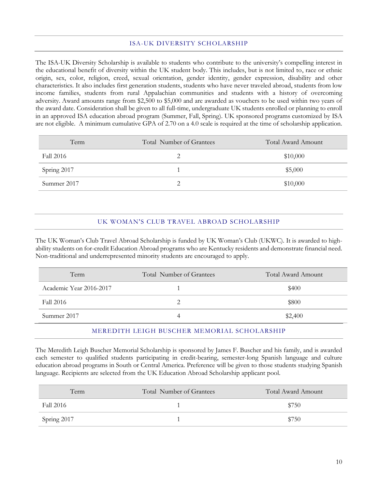## ISA-UK DIVERSITY SCHOLARSHIP

The ISA-UK Diversity Scholarship is available to students who contribute to the university's compelling interest in the educational benefit of diversity within the UK student body. This includes, but is not limited to, race or ethnic origin, sex, color, religion, creed, sexual orientation, gender identity, gender expression, disability and other characteristics. It also includes first generation students, students who have never traveled abroad, students from low income families, students from rural Appalachian communities and students with a history of overcoming adversity. Award amounts range from \$2,500 to \$5,000 and are awarded as vouchers to be used within two years of the award date. Consideration shall be given to all full-time, undergraduate UK students enrolled or planning to enroll in an approved ISA education abroad program (Summer, Fall, Spring). UK sponsored programs customized by ISA are not eligible. A minimum cumulative GPA of 2.70 on a 4.0 scale is required at the time of scholarship application.

| Term        | Total Number of Grantees | Total Award Amount |
|-------------|--------------------------|--------------------|
| Fall 2016   |                          | \$10,000           |
| Spring 2017 |                          | \$5,000            |
| Summer 2017 |                          | \$10,000           |

## UK WOMAN'S CLUB TRAVEL ABROAD SCHOLARSHIP

The UK Woman's Club Travel Abroad Scholarship is funded by UK Woman's Club (UKWC). It is awarded to highability students on for-credit Education Abroad programs who are Kentucky residents and demonstrate financial need. Non-traditional and underrepresented minority students are encouraged to apply.

| Term                    | Total Number of Grantees | Total Award Amount |
|-------------------------|--------------------------|--------------------|
| Academic Year 2016-2017 |                          | \$400              |
| Fall 2016               |                          | \$800              |
| Summer 2017             |                          | \$2,400            |

### MEREDITH LEIGH BUSCHER MEMORIAL SCHOLARSHIP

The Meredith Leigh Buscher Memorial Scholarship is sponsored by James F. Buscher and his family, and is awarded each semester to qualified students participating in credit-bearing, semester-long Spanish language and culture education abroad programs in South or Central America. Preference will be given to those students studying Spanish language. Recipients are selected from the UK Education Abroad Scholarship applicant pool.

| Term        | Total Number of Grantees | Total Award Amount |
|-------------|--------------------------|--------------------|
| Fall 2016   |                          | \$750              |
| Spring 2017 |                          | \$750              |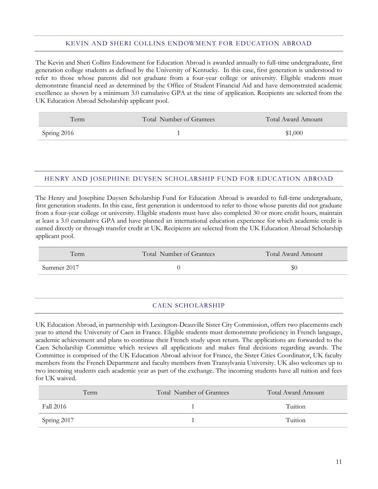#### KEVIN AND SHERI COLLINS ENDOWMENT FOR EDUCATION ABROAD

The Kevin and Sheri Collins Endowment for Education Abroad is awarded annually to full-time undergraduate, first generation college students as defined by the University of Kentucky. In this case, first generation is understood to refer to those whose parents did not graduate from a four-year college or university. Eligible students must demonstrate financial need as determined by the Office of Student Financial Aid and have demonstrated academic excellence as shown by a minimum 3.0 cumulative GPA at the time of application. Recipients are selected from the UK Education Abroad Scholarship applicant pool.

| Term        | Total Number of Grantees | Total Award Amount |
|-------------|--------------------------|--------------------|
| Spring 2016 |                          | \$1,000            |

### HENRY AND JOSEPHINE DUYSEN SCHOLARSHIP FUND FOR EDUCATION ABROAD

The Henry and Josephine Duysen Scholarship Fund for Education Abroad is awarded to full-time undergraduate, first generation students. In this case, first generation is understood to refer to those whose parents did not graduate from a four-year college or university. Eligible students must have also completed 30 or more credit hours, maintain at least a 3.0 cumulative GPA and have planned an international education experience for which academic credit is earned directly or through transfer credit at UK. Recipients are selected from the UK Education Abroad Scholarship applicant pool.

| Term        | Total Number of Grantees | Total Award Amount |
|-------------|--------------------------|--------------------|
| Summer 2017 |                          | Y.                 |

#### CAEN SCHOLARSHIP

UK Education Abroad, in partnership with Lexington-Deauville Sister City Commission, offers two placements each year to attend the University of Caen in France. Eligible students must demonstrate proficiency in French language, academic achievement and plans to continue their French study upon return. The applications are forwarded to the Caen Scholarship Committee which reviews all applications and makes final decisions regarding awards. The Committee is comprised of the UK Education Abroad advisor for France, the Sister Cities Coordinator, UK faculty members from the French Department and faculty members from Transylvania University. UK also welcomes up to two incoming students each academic year as part of the exchange. The incoming students have all tuition and fees for UK waived.

| Term        | Total Number of Grantees | Total Award Amount |
|-------------|--------------------------|--------------------|
| Fall 2016   |                          | Tuition            |
| Spring 2017 |                          | Tuition            |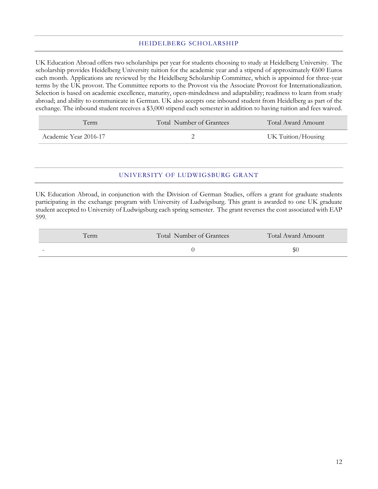#### HEIDELBERG SCHOLARSHIP

UK Education Abroad offers two scholarships per year for students choosing to study at Heidelberg University. The scholarship provides Heidelberg University tuition for the academic year and a stipend of approximately €600 Euros each month. Applications are reviewed by the Heidelberg Scholarship Committee, which is appointed for three-year terms by the UK provost. The Committee reports to the Provost via the Associate Provost for Internationalization. Selection is based on academic excellence, maturity, open-mindedness and adaptability; readiness to learn from study abroad; and ability to communicate in German. UK also accepts one inbound student from Heidelberg as part of the exchange. The inbound student receives a \$3,000 stipend each semester in addition to having tuition and fees waived.

| erm                   | Total Number of Grantees | Total Award Amount |
|-----------------------|--------------------------|--------------------|
| Academic Year 2016-17 |                          | UK Tuition/Housing |

## UNIVERSITY OF LUDWIGSBURG GRANT

UK Education Abroad, in conjunction with the Division of German Studies, offers a grant for graduate students participating in the exchange program with University of Ludwigsburg. This grant is awarded to one UK graduate student accepted to University of Ludwigsburg each spring semester. The grant reverses the cost associated with EAP 599.

| Term                     | Total Number of Grantees | Total Award Amount |
|--------------------------|--------------------------|--------------------|
| $\overline{\phantom{0}}$ |                          |                    |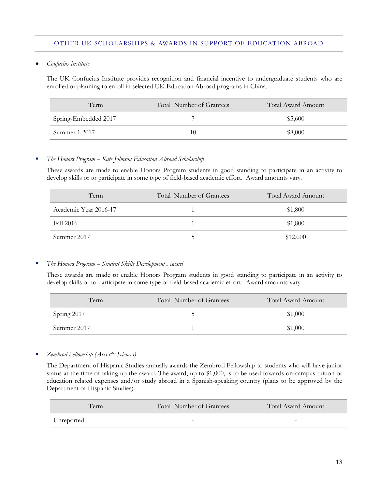#### OTHER UK SCHOLARSHIPS & AWARDS IN SUPPORT OF EDUCATION ABROAD

*Confucius Institute*

The UK Confucius Institute provides recognition and financial incentive to undergraduate students who are enrolled or planning to enroll in selected UK Education Abroad programs in China.

| Term                 | Total Number of Grantees | <b>Total Award Amount</b> |
|----------------------|--------------------------|---------------------------|
| Spring-Embedded 2017 |                          | \$5,600                   |
| Summer 1 2017        | 10                       | \$8,000                   |

## *The Honors Program – Kate Johnson Education Abroad Scholarship*

These awards are made to enable Honors Program students in good standing to participate in an activity to develop skills or to participate in some type of field-based academic effort. Award amounts vary.

| Term                  | Total Number of Grantees | Total Award Amount |
|-----------------------|--------------------------|--------------------|
| Academic Year 2016-17 |                          | \$1,800            |
| Fall 2016             |                          | \$1,800            |
| Summer 2017           | ר                        | \$12,000           |

#### *The Honors Program – Student Skills Development Award*

These awards are made to enable Honors Program students in good standing to participate in an activity to develop skills or to participate in some type of field-based academic effort. Award amounts vary.

| Term        | Total Number of Grantees | Total Award Amount |
|-------------|--------------------------|--------------------|
| Spring 2017 |                          | \$1,000            |
| Summer 2017 |                          | \$1,000            |

*Zembrod Fellowship (Arts & Sciences)*

The Department of Hispanic Studies annually awards the Zembrod Fellowship to students who will have junior status at the time of taking up the award. The award, up to \$1,000, is to be used towards on-campus tuition or education related expenses and/or study abroad in a Spanish-speaking country (plans to be approved by the Department of Hispanic Studies).

| Term       | Total Number of Grantees | Total Award Amount       |
|------------|--------------------------|--------------------------|
| Unreported | -                        | $\overline{\phantom{0}}$ |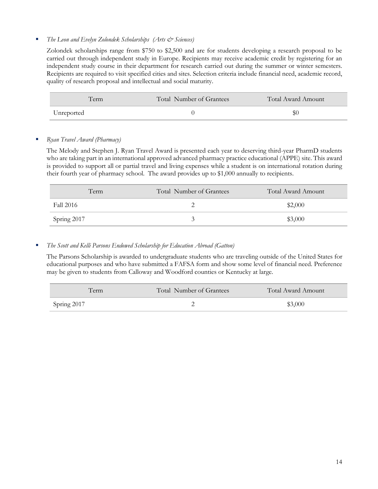## *The Leon and Evelyn Zolondek Scholarships (Arts & Sciences)*

Zolondek scholarships range from \$750 to \$2,500 and are for students developing a research proposal to be carried out through independent study in Europe. Recipients may receive academic credit by registering for an independent study course in their department for research carried out during the summer or winter semesters. Recipients are required to visit specified cities and sites. Selection criteria include financial need, academic record, quality of research proposal and intellectual and social maturity.

| Term       | Total Number of Grantees | Total Award Amount |
|------------|--------------------------|--------------------|
| Unreported |                          | DU.                |

### *Ryan Travel Award (Pharmacy)*

The Melody and Stephen J. Ryan Travel Award is presented each year to deserving third-year PharmD students who are taking part in an international approved advanced pharmacy practice educational (APPE) site. This award is provided to support all or partial travel and living expenses while a student is on international rotation during their fourth year of pharmacy school. The award provides up to \$1,000 annually to recipients.

| Term        | Total Number of Grantees | <b>Total Award Amount</b> |
|-------------|--------------------------|---------------------------|
| Fall 2016   |                          | \$2,000                   |
| Spring 2017 |                          | \$3,000                   |

## *The Scott and Kelli Parsons Endowed Scholarship for Education Abroad (Gatton)*

The Parsons Scholarship is awarded to undergraduate students who are traveling outside of the United States for educational purposes and who have submitted a FAFSA form and show some level of financial need. Preference may be given to students from Calloway and Woodford counties or Kentucky at large.

| Term        | Total Number of Grantees | Total Award Amount |
|-------------|--------------------------|--------------------|
| Spring 2017 |                          | \$3,000            |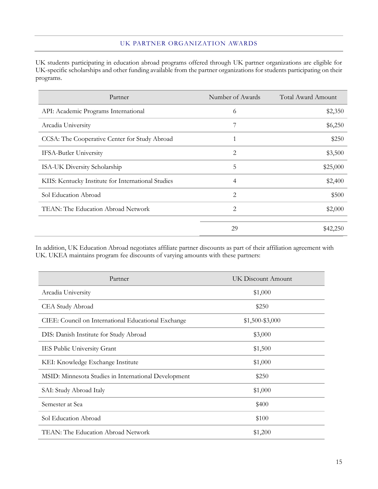#### UK PARTNER ORGANIZATION AWARDS

UK students participating in education abroad programs offered through UK partner organizations are eligible for UK-specific scholarships and other funding available from the partner organizations for students participating on their programs.

| Partner                                            | Number of Awards | Total Award Amount |
|----------------------------------------------------|------------------|--------------------|
| API: Academic Programs International               | 6                | \$2,350            |
| Arcadia University                                 | 7                | \$6,250            |
| CCSA: The Cooperative Center for Study Abroad      |                  | \$250              |
| <b>IFSA-Butler University</b>                      | 2                | \$3,500            |
| ISA-UK Diversity Scholarship                       | 5                | \$25,000           |
| KIIS: Kentucky Institute for International Studies | 4                | \$2,400            |
| Sol Education Abroad                               | 2                | \$500              |
| TEAN: The Education Abroad Network                 | 2                | \$2,000            |
|                                                    |                  |                    |
|                                                    | 29               | \$42,250           |

In addition, UK Education Abroad negotiates affiliate partner discounts as part of their affiliation agreement with UK. UKEA maintains program fee discounts of varying amounts with these partners:

| Partner                                              | UK Discount Amount |
|------------------------------------------------------|--------------------|
| Arcadia University                                   | \$1,000            |
| CEA Study Abroad                                     | \$250              |
| CIEE: Council on International Educational Exchange  | $$1,500 - $3,000$  |
| DIS: Danish Institute for Study Abroad               | \$3,000            |
| <b>IES Public University Grant</b>                   | \$1,500            |
| KEI: Knowledge Exchange Institute                    | \$1,000            |
| MSID: Minnesota Studies in International Development | \$250              |
| SAI: Study Abroad Italy                              | \$1,000            |
| Semester at Sea                                      | \$400              |
| Sol Education Abroad                                 | \$100              |
| TEAN: The Education Abroad Network                   | \$1,200            |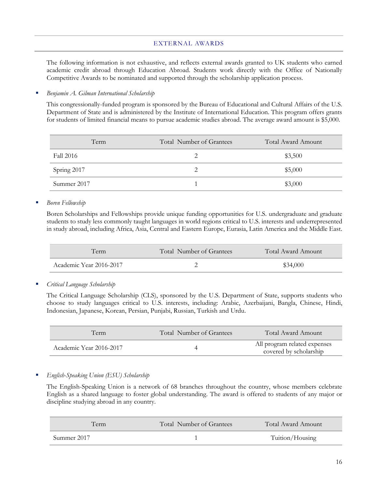#### EXTERNAL AWARDS

The following information is not exhaustive, and reflects external awards granted to UK students who earned academic credit abroad through Education Abroad. Students work directly with the Office of Nationally Competitive Awards to be nominated and supported through the scholarship application process.

#### *Benjamin A. Gilman International Scholarship*

This congressionally-funded program is sponsored by the Bureau of Educational and Cultural Affairs of the U.S. Department of State and is administered by the Institute of International Education. This program offers grants for students of limited financial means to pursue academic studies abroad. The average award amount is \$5,000.

| Term        | Total Number of Grantees | Total Award Amount |
|-------------|--------------------------|--------------------|
| Fall 2016   |                          | \$3,500            |
| Spring 2017 |                          | \$5,000            |
| Summer 2017 |                          | \$3,000            |

#### *Boren Fellowship*

Boren Scholarships and Fellowships provide unique funding opportunities for U.S. undergraduate and graduate students to study less commonly taught languages in world regions critical to U.S. interests and underrepresented in study abroad, including Africa, Asia, Central and Eastern Europe, Eurasia, Latin America and the Middle East.

| Term                    | Total Number of Grantees | Total Award Amount |
|-------------------------|--------------------------|--------------------|
| Academic Year 2016-2017 |                          | \$34,000           |

*Critical Language Scholarship*

The Critical Language Scholarship (CLS), sponsored by the U.S. Department of State, supports students who choose to study languages critical to U.S. interests, including: Arabic, Azerbaijani, Bangla, Chinese, Hindi, Indonesian, Japanese, Korean, Persian, Punjabi, Russian, Turkish and Urdu.

| Term                    | Total Number of Grantees | Total Award Amount                                     |
|-------------------------|--------------------------|--------------------------------------------------------|
| Academic Year 2016-2017 |                          | All program related expenses<br>covered by scholarship |

### *English-Speaking Union (ESU) Scholarship*

The English-Speaking Union is a network of 68 branches throughout the country, whose members celebrate English as a shared language to foster global understanding. The award is offered to students of any major or discipline studying abroad in any country.

| Term        | Total Number of Grantees | Total Award Amount |
|-------------|--------------------------|--------------------|
| Summer 2017 |                          | Tuition/Housing    |